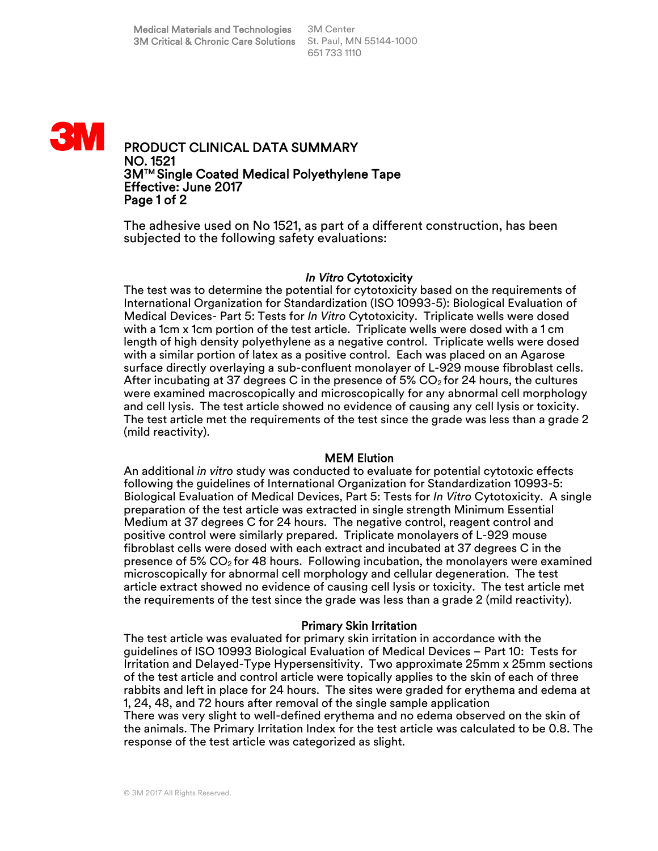

The adhesive used on No 1521, as part of a different construction, has been subjected to the following safety evaluations:

### *In Vitro* Cytotoxicity

The test was to determine the potential for cytotoxicity based on the requirements of International Organization for Standardization (ISO 10993-5): Biological Evaluation of Medical Devices- Part 5: Tests for *In Vitro* Cytotoxicity. Triplicate wells were dosed with a 1cm x 1cm portion of the test article. Triplicate wells were dosed with a 1 cm length of high density polyethylene as a negative control. Triplicate wells were dosed with a similar portion of latex as a positive control. Each was placed on an Agarose surface directly overlaying a sub-confluent monolayer of L-929 mouse fibroblast cells. After incubating at 37 degrees C in the presence of 5%  $CO<sub>2</sub>$  for 24 hours, the cultures were examined macroscopically and microscopically for any abnormal cell morphology and cell lysis. The test article showed no evidence of causing any cell lysis or toxicity. The test article met the requirements of the test since the grade was less than a grade 2 (mild reactivity).

#### MEM Elution

An additional *in vitro* study was conducted to evaluate for potential cytotoxic effects following the guidelines of International Organization for Standardization 10993-5: Biological Evaluation of Medical Devices, Part 5: Tests for *In Vitro* Cytotoxicity. A single preparation of the test article was extracted in single strength Minimum Essential Medium at 37 degrees C for 24 hours. The negative control, reagent control and positive control were similarly prepared. Triplicate monolayers of L-929 mouse fibroblast cells were dosed with each extract and incubated at 37 degrees C in the presence of 5%  $CO<sub>2</sub>$  for 48 hours. Following incubation, the monolayers were examined microscopically for abnormal cell morphology and cellular degeneration. The test article extract showed no evidence of causing cell lysis or toxicity. The test article met the requirements of the test since the grade was less than a grade 2 (mild reactivity).

#### Primary Skin Irritation

The test article was evaluated for primary skin irritation in accordance with the guidelines of ISO 10993 Biological Evaluation of Medical Devices – Part 10: Tests for Irritation and Delayed-Type Hypersensitivity. Two approximate 25mm x 25mm sections of the test article and control article were topically applies to the skin of each of three rabbits and left in place for 24 hours. The sites were graded for erythema and edema at 1, 24, 48, and 72 hours after removal of the single sample application There was very slight to well-defined erythema and no edema observed on the skin of the animals. The Primary Irritation Index for the test article was calculated to be 0.8. The response of the test article was categorized as slight.